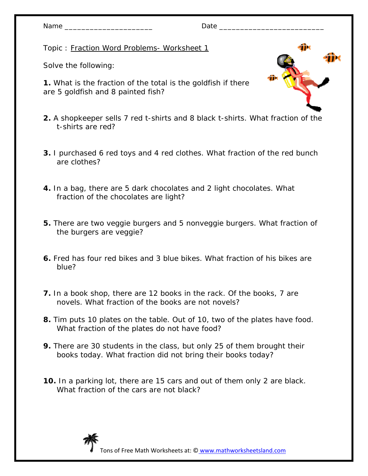| JAM |  |
|-----|--|
|-----|--|

Date  $\_\_$ 

Topic : Fraction Word Problems- Worksheet 1

Solve the following:

**1.** What is the fraction of the total is the goldfish if there are 5 goldfish and 8 painted fish?

- **2.** A shopkeeper sells 7 red t-shirts and 8 black t-shirts. What fraction of the t-shirts are red?
- **3.** I purchased 6 red toys and 4 red clothes. What fraction of the red bunch are clothes?
- **4.** In a bag, there are 5 dark chocolates and 2 light chocolates. What fraction of the chocolates are light?
- **5.** There are two veggie burgers and 5 nonveggie burgers. What fraction of the burgers are veggie?
- **6.** Fred has four red bikes and 3 blue bikes. What fraction of his bikes are blue?
- **7.** In a book shop, there are 12 books in the rack. Of the books, 7 are novels. What fraction of the books are not novels?
- **8.** Tim puts 10 plates on the table. Out of 10, two of the plates have food. What fraction of the plates do not have food?
- **9.** There are 30 students in the class, but only 25 of them brought their books today. What fraction did not bring their books today?
- **10.** In a parking lot, there are 15 cars and out of them only 2 are black. What fraction of the cars are not black?

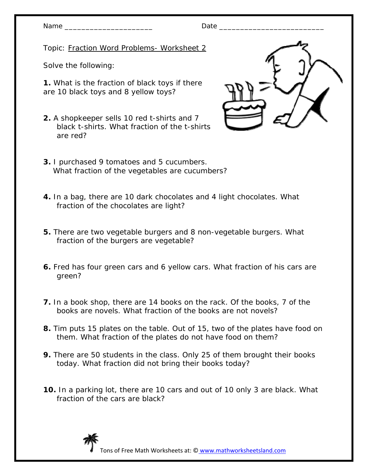Topic: Fraction Word Problems- Worksheet 2

Solve the following:

**1.** What is the fraction of black toys if there are 10 black toys and 8 yellow toys?

- **2.** A shopkeeper sells 10 red t-shirts and 7 black t-shirts. What fraction of the t-shirts are red?
- **3.** I purchased 9 tomatoes and 5 cucumbers. What fraction of the vegetables are cucumbers?
- **4.** In a bag, there are 10 dark chocolates and 4 light chocolates. What fraction of the chocolates are light?
- **5.** There are two vegetable burgers and 8 non-vegetable burgers. What fraction of the burgers are vegetable?
- **6.** Fred has four green cars and 6 yellow cars. What fraction of his cars are green?
- **7.** In a book shop, there are 14 books on the rack. Of the books, 7 of the books are novels. What fraction of the books are not novels?
- **8.** Tim puts 15 plates on the table. Out of 15, two of the plates have food on them. What fraction of the plates do not have food on them?
- **9.** There are 50 students in the class. Only 25 of them brought their books today. What fraction did not bring their books today?
- **10.** In a parking lot, there are 10 cars and out of 10 only 3 are black. What fraction of the cars are black?



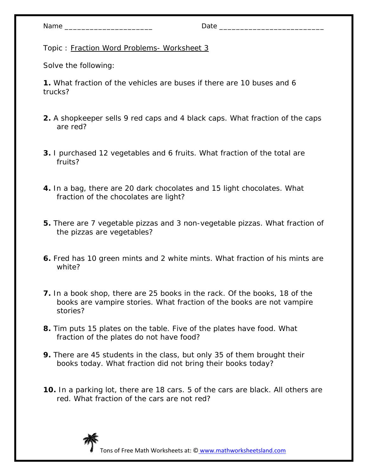| Name |  |
|------|--|
|------|--|

Topic : Fraction Word Problems- Worksheet 3

Solve the following:

**1.** What fraction of the vehicles are buses if there are 10 buses and 6 trucks?

- **2.** A shopkeeper sells 9 red caps and 4 black caps. What fraction of the caps are red?
- **3.** I purchased 12 vegetables and 6 fruits. What fraction of the total are fruits?
- **4.** In a bag, there are 20 dark chocolates and 15 light chocolates. What fraction of the chocolates are light?
- **5.** There are 7 vegetable pizzas and 3 non-vegetable pizzas. What fraction of the pizzas are vegetables?
- **6.** Fred has 10 green mints and 2 white mints. What fraction of his mints are white?
- **7.** In a book shop, there are 25 books in the rack. Of the books, 18 of the books are vampire stories. What fraction of the books are not vampire stories?
- **8.** Tim puts 15 plates on the table. Five of the plates have food. What fraction of the plates do not have food?
- **9.** There are 45 students in the class, but only 35 of them brought their books today. What fraction did not bring their books today?
- **10.** In a parking lot, there are 18 cars. 5 of the cars are black. All others are red. What fraction of the cars are not red?

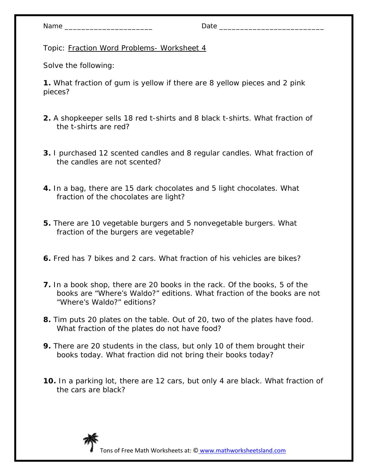Topic: Fraction Word Problems- Worksheet 4

Solve the following:

**1.** What fraction of gum is yellow if there are 8 yellow pieces and 2 pink pieces?

- **2.** A shopkeeper sells 18 red t-shirts and 8 black t-shirts. What fraction of the t-shirts are red?
- **3.** I purchased 12 scented candles and 8 regular candles. What fraction of the candles are not scented?
- **4.** In a bag, there are 15 dark chocolates and 5 light chocolates. What fraction of the chocolates are light?
- **5.** There are 10 vegetable burgers and 5 nonvegetable burgers. What fraction of the burgers are vegetable?
- **6.** Fred has 7 bikes and 2 cars. What fraction of his vehicles are bikes?
- **7.** In a book shop, there are 20 books in the rack. Of the books, 5 of the books are "Where's Waldo?" editions. What fraction of the books are not "Where's Waldo?" editions?
- **8.** Tim puts 20 plates on the table. Out of 20, two of the plates have food. What fraction of the plates do not have food?
- **9.** There are 20 students in the class, but only 10 of them brought their books today. What fraction did not bring their books today?
- **10.** In a parking lot, there are 12 cars, but only 4 are black. What fraction of the cars are black?